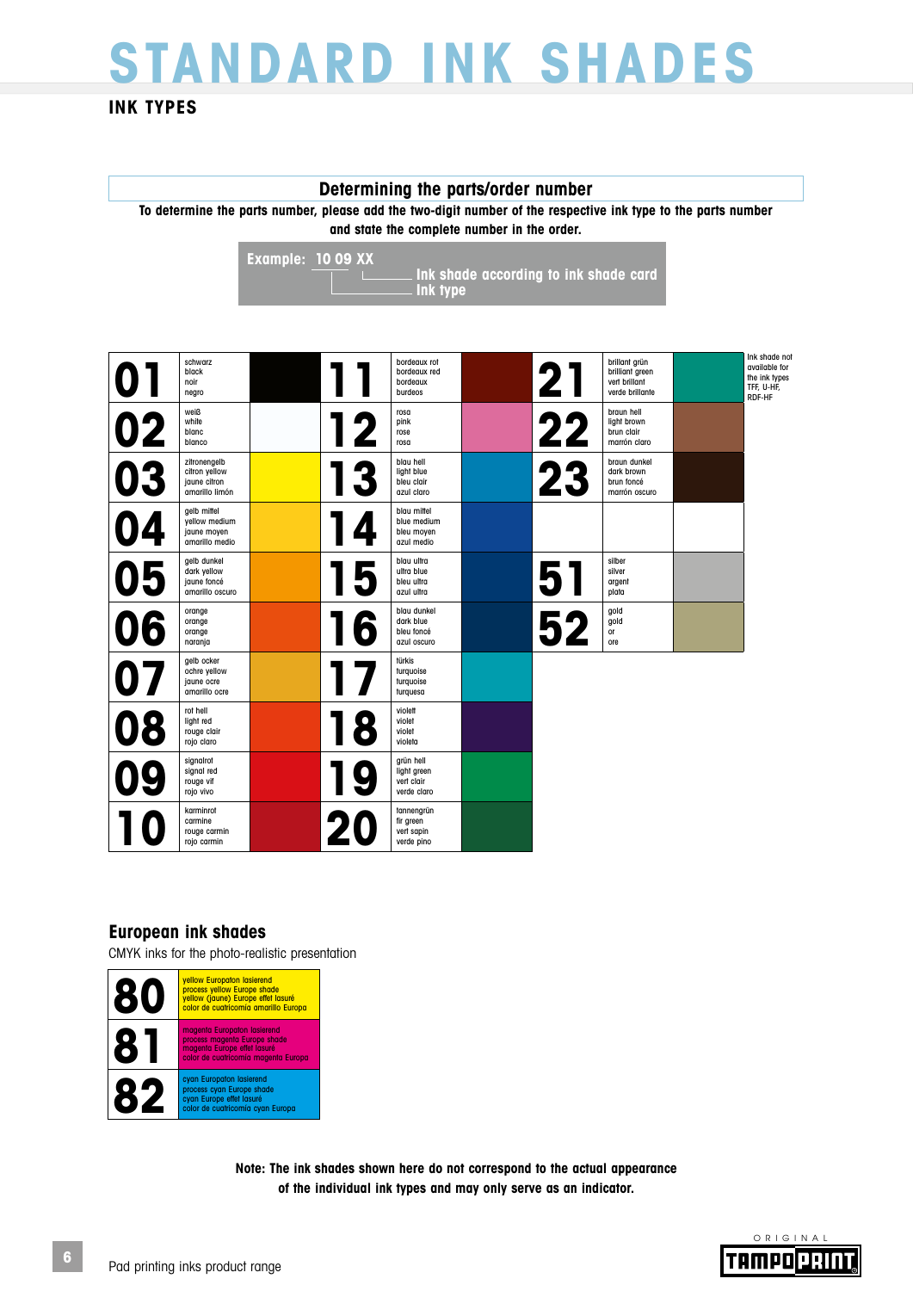# **STANDARD INK SHADES**

### **INK TYPES**

#### **Determining the parts/order number**

**To determine the parts number, please add the two-digit number of the respective ink type to the parts number and state the complete number in the order.**

> **Example: 10 09 XX Ink shade according to ink shade card Ink type**

|    | schwarz<br>black<br>noir<br>negro                               |    | bordeaux rot<br>bordeaux red<br>bordeaux<br>burdeos    | 21 | brillant grün<br>brilliant green<br>vert brillant<br>verde brillante | Ink shade not<br>available for<br>the ink types<br>TFF, U-HF,<br>RDF-HF |
|----|-----------------------------------------------------------------|----|--------------------------------------------------------|----|----------------------------------------------------------------------|-------------------------------------------------------------------------|
| 02 | weiß<br>white<br>blanc<br>blanco                                | 12 | rosa<br>pink<br>rose<br>rosa                           | 22 | braun hell<br>light brown<br>brun clair<br>marrón claro              |                                                                         |
| 03 | zitronengelb<br>citron yellow<br>jaune citron<br>amarillo limón | 3  | blau hell<br>light blue<br>bleu clair<br>azul claro    | 23 | braun dunkel<br>dark brown<br>brun foncé<br>marrón oscuro            |                                                                         |
| 04 | gelb mittel<br>yellow medium<br>jaune moyen<br>amarillo medio   |    | blau mittel<br>blue medium<br>bleu moyen<br>azul medio |    |                                                                      |                                                                         |
| 05 | gelb dunkel<br>dark yellow<br>jaune foncé<br>amarillo oscuro    | 5  | blau ultra<br>ultra blue<br>bleu ultra<br>azul ultra   | 51 | silber<br>silver<br>argent<br>plata                                  |                                                                         |
| 06 | orange<br>orange<br>orange<br>naranja                           | 6  | blau dunkel<br>dark blue<br>bleu foncé<br>azul oscuro  | 52 | gold<br>gold<br>or<br>ore                                            |                                                                         |
| 07 | gelb ocker<br>ochre yellow<br>jaune ocre<br>amarillo ocre       | 17 | türkis<br>turquoise<br>turquoise<br>turquesa           |    |                                                                      |                                                                         |
| 08 | rot hell<br>light red<br>rouge clair<br>rojo claro              | 8  | violett<br>violet<br>violet<br>violeta                 |    |                                                                      |                                                                         |
| 09 | signalrot<br>signal red<br>rouge vif<br>rojo vivo               | g  | grün hell<br>light green<br>vert clair<br>verde claro  |    |                                                                      |                                                                         |
|    | karminrot<br>carmine<br>rouge carmin<br>rojo carmin             | 20 | tannengrün<br>fir green<br>vert sapin<br>verde pino    |    |                                                                      |                                                                         |

### **European ink shades**

CMYK inks for the photo-realistic presentation



**Note: The ink shades shown here do not correspond to the actual appearance of the individual ink types and may only serve as an indicator.**